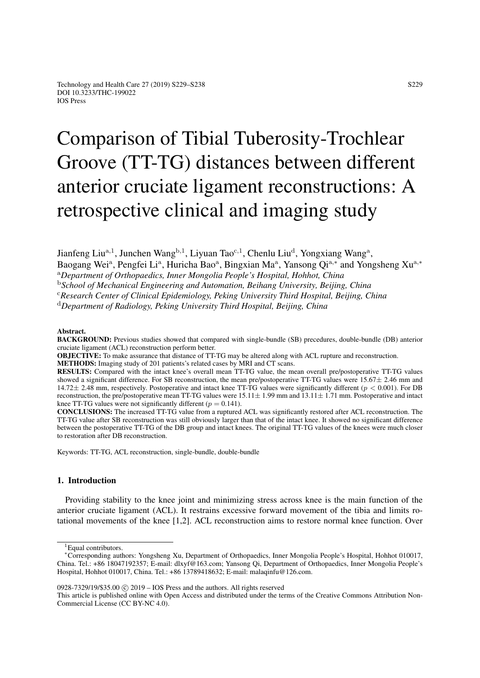# Comparison of Tibial Tuberosity-Trochlear Groove (TT-TG) distances between different anterior cruciate ligament reconstructions: A retrospective clinical and imaging study

Jianfeng Liu<sup>a, 1</sup>, Junchen Wang<sup>b, 1</sup>, Liyuan Tao<sup>c, 1</sup>, Chenlu Liu<sup>d</sup>, Yongxiang Wang<sup>a</sup>,

Baogang Wei<sup>a</sup>, Pengfei Li<sup>a</sup>, Huricha Bao<sup>a</sup>, Bingxian Ma<sup>a</sup>, Yansong Qi<sup>a,\*</sup> and Yongsheng Xu<sup>a,\*</sup>

<sup>a</sup>*Department of Orthopaedics, Inner Mongolia People's Hospital, Hohhot, China*

<sup>b</sup>*School of Mechanical Engineering and Automation, Beihang University, Beijing, China*

<sup>c</sup>*Research Center of Clinical Epidemiology, Peking University Third Hospital, Beijing, China*

<sup>d</sup>*Department of Radiology, Peking University Third Hospital, Beijing, China*

#### Abstract.

BACKGROUND: Previous studies showed that compared with single-bundle (SB) precedures, double-bundle (DB) anterior cruciate ligament (ACL) reconstruction perform better.

OBJECTIVE: To make assurance that distance of TT-TG may be altered along with ACL rupture and reconstruction.

METHODS: Imaging study of 201 patients's related cases by MRI and CT scans.

RESULTS: Compared with the intact knee's overall mean TT-TG value, the mean overall pre/postoperative TT-TG values showed a significant difference. For SB reconstruction, the mean pre/postoperative TT-TG values were  $15.67 \pm 2.46$  mm and 14.72 $\pm$  2.48 mm, respectively. Postoperative and intact knee TT-TG values were significantly different ( $p < 0.001$ ). For DB reconstruction, the pre/postoperative mean TT-TG values were  $15.11 \pm 1.99$  mm and  $13.11 \pm 1.71$  mm. Postoperative and intact knee TT-TG values were not significantly different ( $p = 0.141$ ).

CONCLUSIONS: The increased TT-TG value from a ruptured ACL was significantly restored after ACL reconstruction. The TT-TG value after SB reconstruction was still obviously larger than that of the intact knee. It showed no significant difference between the postoperative TT-TG of the DB group and intact knees. The original TT-TG values of the knees were much closer to restoration after DB reconstruction.

Keywords: TT-TG, ACL reconstruction, single-bundle, double-bundle

# 1. Introduction

Providing stability to the knee joint and minimizing stress across knee is the main function of the anterior cruciate ligament (ACL). It restrains excessive forward movement of the tibia and limits rotational movements of the knee [\[1](#page-7-0)[,2\]](#page-7-1). ACL reconstruction aims to restore normal knee function. Over

<sup>1</sup>Equal contributors.

0928-7329/19/\$35.00 c 2019 – IOS Press and the authors. All rights reserved

This article is published online with Open Access and distributed under the terms of the Creative Commons Attribution Non-Commercial License (CC BY-NC 4.0).

<sup>∗</sup>Corresponding authors: Yongsheng Xu, Department of Orthopaedics, Inner Mongolia People's Hospital, Hohhot 010017, China. Tel.: +86 18047192357; E-mail: dlxyf@163.com; Yansong Qi, Department of Orthopaedics, Inner Mongolia People's Hospital, Hohhot 010017, China. Tel.: +86 13789418632; E-mail: malaqinfu@126.com.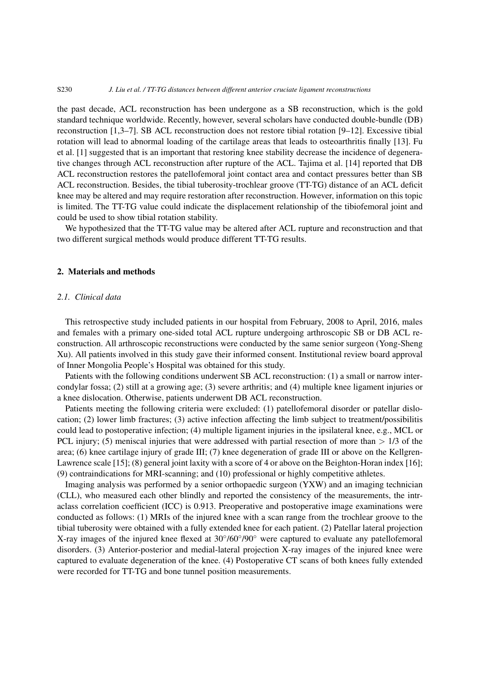#### S230 *J. Liu et al. / TT-TG distances between different anterior cruciate ligament reconstructions*

the past decade, ACL reconstruction has been undergone as a SB reconstruction, which is the gold standard technique worldwide. Recently, however, several scholars have conducted double-bundle (DB) reconstruction [\[1,](#page-7-0)[3–](#page-7-2)[7\]](#page-7-3). SB ACL reconstruction does not restore tibial rotation [\[9](#page-7-4)[–12\]](#page-8-0). Excessive tibial rotation will lead to abnormal loading of the cartilage areas that leads to osteoarthritis finally [\[13\]](#page-8-1). Fu et al. [\[1\]](#page-7-0) suggested that is an important that restoring knee stability decrease the incidence of degenerative changes through ACL reconstruction after rupture of the ACL. Tajima et al. [\[14\]](#page-8-2) reported that DB ACL reconstruction restores the patellofemoral joint contact area and contact pressures better than SB ACL reconstruction. Besides, the tibial tuberosity-trochlear groove (TT-TG) distance of an ACL deficit knee may be altered and may require restoration after reconstruction. However, information on this topic is limited. The TT-TG value could indicate the displacement relationship of the tibiofemoral joint and could be used to show tibial rotation stability.

We hypothesized that the TT-TG value may be altered after ACL rupture and reconstruction and that two different surgical methods would produce different TT-TG results.

# 2. Materials and methods

# *2.1. Clinical data*

This retrospective study included patients in our hospital from February, 2008 to April, 2016, males and females with a primary one-sided total ACL rupture undergoing arthroscopic SB or DB ACL reconstruction. All arthroscopic reconstructions were conducted by the same senior surgeon (Yong-Sheng Xu). All patients involved in this study gave their informed consent. Institutional review board approval of Inner Mongolia People's Hospital was obtained for this study.

Patients with the following conditions underwent SB ACL reconstruction: (1) a small or narrow intercondylar fossa; (2) still at a growing age; (3) severe arthritis; and (4) multiple knee ligament injuries or a knee dislocation. Otherwise, patients underwent DB ACL reconstruction.

Patients meeting the following criteria were excluded: (1) patellofemoral disorder or patellar dislocation; (2) lower limb fractures; (3) active infection affecting the limb subject to treatment/possibilitis could lead to postoperative infection; (4) multiple ligament injuries in the ipsilateral knee, e.g., MCL or PCL injury; (5) meniscal injuries that were addressed with partial resection of more than  $> 1/3$  of the area; (6) knee cartilage injury of grade III; (7) knee degeneration of grade III or above on the Kellgren-Lawrence scale [\[15\]](#page-8-3); (8) general joint laxity with a score of 4 or above on the Beighton-Horan index [\[16\]](#page-8-4); (9) contraindications for MRI-scanning; and (10) professional or highly competitive athletes.

Imaging analysis was performed by a senior orthopaedic surgeon (YXW) and an imaging technician (CLL), who measured each other blindly and reported the consistency of the measurements, the intraclass correlation coefficient (ICC) is 0.913. Preoperative and postoperative image examinations were conducted as follows: (1) MRIs of the injured knee with a scan range from the trochlear groove to the tibial tuberosity were obtained with a fully extended knee for each patient. (2) Patellar lateral projection X-ray images of the injured knee flexed at 30°/60°/90° were captured to evaluate any patellofemoral disorders. (3) Anterior-posterior and medial-lateral projection X-ray images of the injured knee were captured to evaluate degeneration of the knee. (4) Postoperative CT scans of both knees fully extended were recorded for TT-TG and bone tunnel position measurements.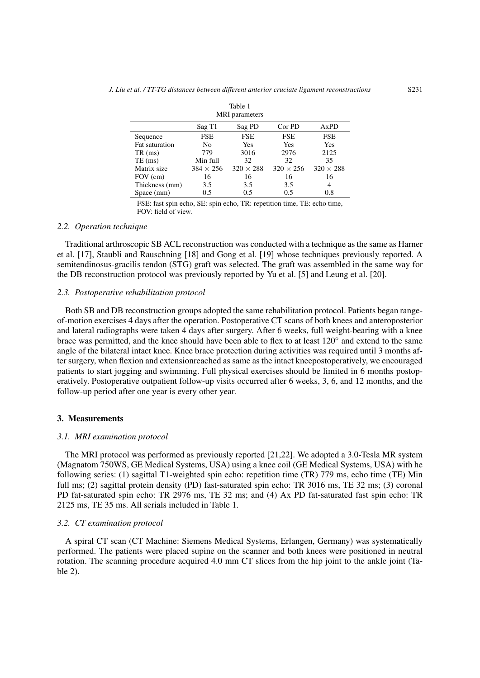<span id="page-2-0"></span>

| <b>MRI</b> parameters |                  |                  |                  |                  |  |  |
|-----------------------|------------------|------------------|------------------|------------------|--|--|
|                       | Sag T1           | Sag PD           | Cor PD           | AxPD             |  |  |
| Sequence              | <b>FSE</b>       | <b>FSE</b>       | <b>FSE</b>       | <b>FSE</b>       |  |  |
| Fat saturation        | No               | Yes              | Yes              |                  |  |  |
| $TR \,$ (ms)          | 779              | 3016             | 2976             | 2125             |  |  |
| $TE$ (ms)             | Min full         | 32               | 32               | 35               |  |  |
| Matrix size           | $384 \times 256$ | $320 \times 288$ | $320 \times 256$ | $320 \times 288$ |  |  |
| FOV (cm)              | 16               | 16               | 16               | 16               |  |  |
| Thickness (mm)        | 3.5              | 3.5              | 3.5              | 4                |  |  |
| Space (mm)            | 0.5              | 0.5              | 0.5              | 0.8              |  |  |

#### Table 1 MRI parameters

FSE: fast spin echo, SE: spin echo, TR: repetition time, TE: echo time, FOV: field of view.

# *2.2. Operation technique*

Traditional arthroscopic SB ACL reconstruction was conducted with a technique as the same as Harner et al. [\[17\]](#page-8-5), Staubli and Rauschning [\[18\]](#page-8-6) and Gong et al. [\[19\]](#page-8-7) whose techniques previously reported. A semitendinosus-gracilis tendon (STG) graft was selected. The graft was assembled in the same way for the DB reconstruction protocol was previously reported by Yu et al. [\[5\]](#page-7-5) and Leung et al. [\[20\]](#page-8-8).

## *2.3. Postoperative rehabilitation protocol*

Both SB and DB reconstruction groups adopted the same rehabilitation protocol. Patients began rangeof-motion exercises 4 days after the operation. Postoperative CT scans of both knees and anteroposterior and lateral radiographs were taken 4 days after surgery. After 6 weeks, full weight-bearing with a knee brace was permitted, and the knee should have been able to flex to at least 120° and extend to the same angle of the bilateral intact knee. Knee brace protection during activities was required until 3 months after surgery, when flexion and extensionreached as same as the intact kneepostoperatively, we encouraged patients to start jogging and swimming. Full physical exercises should be limited in 6 months postoperatively. Postoperative outpatient follow-up visits occurred after 6 weeks, 3, 6, and 12 months, and the follow-up period after one year is every other year.

# 3. Measurements

## *3.1. MRI examination protocol*

The MRI protocol was performed as previously reported [\[21,](#page-8-9)[22\]](#page-8-10). We adopted a 3.0-Tesla MR system (Magnatom 750WS, GE Medical Systems, USA) using a knee coil (GE Medical Systems, USA) with he following series: (1) sagittal T1-weighted spin echo: repetition time (TR) 779 ms, echo time (TE) Min full ms; (2) sagittal protein density (PD) fast-saturated spin echo: TR 3016 ms, TE 32 ms; (3) coronal PD fat-saturated spin echo: TR 2976 ms, TE 32 ms; and (4) Ax PD fat-saturated fast spin echo: TR 2125 ms, TE 35 ms. All serials included in Table [1.](#page-2-0)

# *3.2. CT examination protocol*

A spiral CT scan (CT Machine: Siemens Medical Systems, Erlangen, Germany) was systematically performed. The patients were placed supine on the scanner and both knees were positioned in neutral rotation. The scanning procedure acquired 4.0 mm CT slices from the hip joint to the ankle joint (Table [2\)](#page-3-0).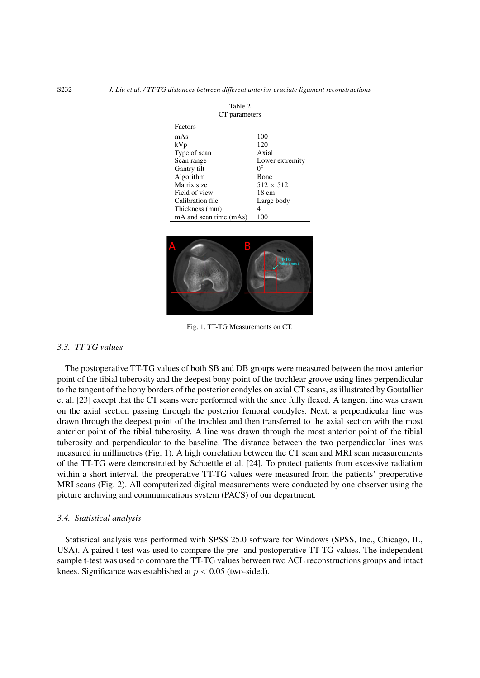<span id="page-3-0"></span>

| $\cdots$               |                  |  |  |  |  |
|------------------------|------------------|--|--|--|--|
| CT parameters          |                  |  |  |  |  |
| Factors                |                  |  |  |  |  |
| mAs                    | 100              |  |  |  |  |
| kVp                    | 120              |  |  |  |  |
| Type of scan           | Axial            |  |  |  |  |
| Scan range             | Lower extremity  |  |  |  |  |
| Gantry tilt            | $\Omega^{\circ}$ |  |  |  |  |
| Algorithm              | <b>Bone</b>      |  |  |  |  |
| Matrix size            | $512 \times 512$ |  |  |  |  |
| Field of view          | $18 \text{ cm}$  |  |  |  |  |
| Calibration file       | Large body       |  |  |  |  |
| Thickness (mm)         |                  |  |  |  |  |
| mA and scan time (mAs) | 100              |  |  |  |  |

 $Table 2$ 

<span id="page-3-1"></span>

Fig. 1. TT-TG Measurements on CT.

# *3.3. TT-TG values*

The postoperative TT-TG values of both SB and DB groups were measured between the most anterior point of the tibial tuberosity and the deepest bony point of the trochlear groove using lines perpendicular to the tangent of the bony borders of the posterior condyles on axial CT scans, as illustrated by Goutallier et al. [\[23\]](#page-8-11) except that the CT scans were performed with the knee fully flexed. A tangent line was drawn on the axial section passing through the posterior femoral condyles. Next, a perpendicular line was drawn through the deepest point of the trochlea and then transferred to the axial section with the most anterior point of the tibial tuberosity. A line was drawn through the most anterior point of the tibial tuberosity and perpendicular to the baseline. The distance between the two perpendicular lines was measured in millimetres (Fig. [1\)](#page-3-1). A high correlation between the CT scan and MRI scan measurements of the TT-TG were demonstrated by Schoettle et al. [\[24\]](#page-8-12). To protect patients from excessive radiation within a short interval, the preoperative TT-TG values were measured from the patients' preoperative MRI scans (Fig. [2\)](#page-4-0). All computerized digital measurements were conducted by one observer using the picture archiving and communications system (PACS) of our department.

## *3.4. Statistical analysis*

Statistical analysis was performed with SPSS 25.0 software for Windows (SPSS, Inc., Chicago, IL, USA). A paired t-test was used to compare the pre- and postoperative TT-TG values. The independent sample t-test was used to compare the TT-TG values between two ACL reconstructions groups and intact knees. Significance was established at  $p < 0.05$  (two-sided).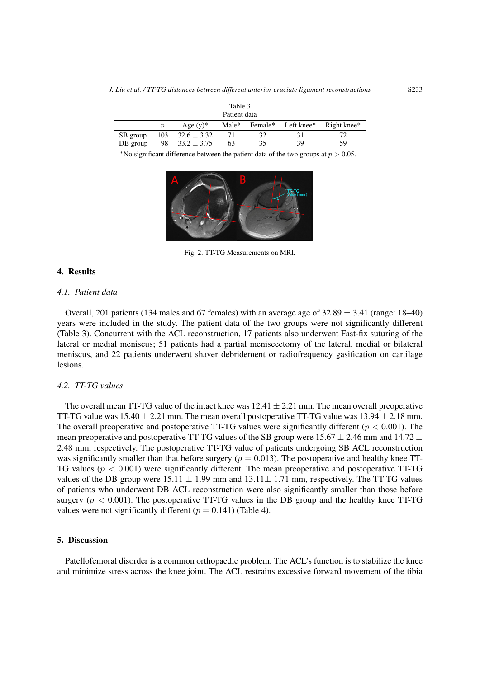<span id="page-4-1"></span>

| rapie 5<br>Patient data |                  |                 |       |    |                    |             |  |
|-------------------------|------------------|-----------------|-------|----|--------------------|-------------|--|
|                         | $\boldsymbol{n}$ | Age $(v)^*$     | Male* |    | Female* Left knee* | Right knee* |  |
| SB group                | 103              | $32.6 \pm 3.32$ |       |    |                    |             |  |
| DB group                | 98               | $33.2 \pm 3.75$ | 63    | 35 | 39                 | 59          |  |

\*No significant difference between the patient data of the two groups at  $p > 0.05$ .

<span id="page-4-0"></span>

Fig. 2. TT-TG Measurements on MRI.

# 4. Results

## *4.1. Patient data*

Overall, 201 patients (134 males and 67 females) with an average age of  $32.89 \pm 3.41$  (range: 18–40) years were included in the study. The patient data of the two groups were not significantly different (Table [3\)](#page-4-1). Concurrent with the ACL reconstruction, 17 patients also underwent Fast-fix suturing of the lateral or medial meniscus; 51 patients had a partial meniscectomy of the lateral, medial or bilateral meniscus, and 22 patients underwent shaver debridement or radiofrequency gasification on cartilage lesions.

# *4.2. TT-TG values*

The overall mean TT-TG value of the intact knee was  $12.41 \pm 2.21$  mm. The mean overall preoperative TT-TG value was  $15.40 \pm 2.21$  mm. The mean overall postoperative TT-TG value was  $13.94 \pm 2.18$  mm. The overall preoperative and postoperative TT-TG values were significantly different ( $p < 0.001$ ). The mean preoperative and postoperative TT-TG values of the SB group were  $15.67 \pm 2.46$  mm and  $14.72 \pm 2.46$ 2.48 mm, respectively. The postoperative TT-TG value of patients undergoing SB ACL reconstruction was significantly smaller than that before surgery ( $p = 0.013$ ). The postoperative and healthy knee TT-TG values ( $p < 0.001$ ) were significantly different. The mean preoperative and postoperative TT-TG values of the DB group were  $15.11 \pm 1.99$  mm and  $13.11 \pm 1.71$  mm, respectively. The TT-TG values of patients who underwent DB ACL reconstruction were also significantly smaller than those before surgery ( $p < 0.001$ ). The postoperative TT-TG values in the DB group and the healthy knee TT-TG values were not significantly different ( $p = 0.141$ ) (Table [4\)](#page-5-0).

### 5. Discussion

Patellofemoral disorder is a common orthopaedic problem. The ACL's function is to stabilize the knee and minimize stress across the knee joint. The ACL restrains excessive forward movement of the tibia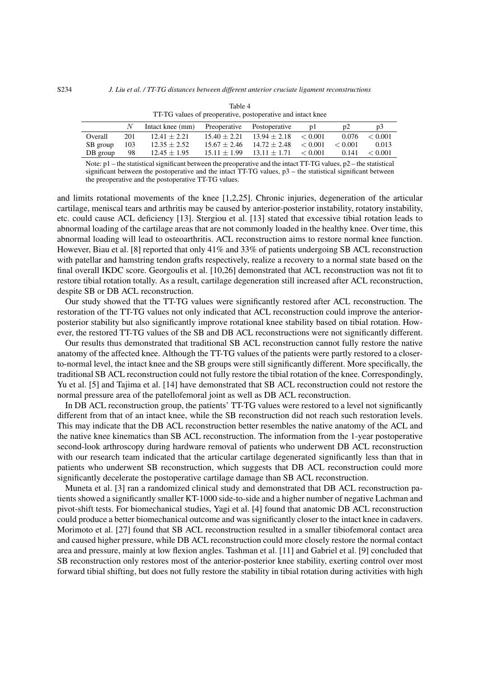<span id="page-5-0"></span>

|          | N.  | Intact knee (mm) | Preoperative Postoperative |                                           | D <sub>1</sub> | $D^2$   | D3      |
|----------|-----|------------------|----------------------------|-------------------------------------------|----------------|---------|---------|
| Overall  | 201 | $12.41 + 2.21$   |                            | $15.40 + 2.21$ $13.94 + 2.18$ < 0.001     |                | 0.076   | < 0.001 |
| SB group | 103 | $12.35 \pm 2.52$ |                            | $15.67 + 2.46$ $14.72 + 2.48$ < 0.001     |                | < 0.001 | 0.013   |
| DB group | 98  | $12.45 \pm 1.95$ |                            | $15.11 \pm 1.99$ $13.11 \pm 1.71$ < 0.001 |                | 0.141   | < 0.001 |
|          |     |                  |                            |                                           |                |         |         |

Table 4 TT-TG values of preoperative, postoperative and intact knee

Note:  $p1$  – the statistical significant between the preoperative and the intact TT-TG values,  $p2$  – the statistical significant between the postoperative and the intact TT-TG values,  $p3$  – the statistical significant between the preoperative and the postoperative TT-TG values.

and limits rotational movements of the knee [\[1,](#page-7-0)[2](#page-7-1)[,25\]](#page-8-13). Chronic injuries, degeneration of the articular cartilage, meniscal tears and arthritis may be caused by anterior-posterior instability, rotatory instability, etc. could cause ACL deficiency [\[13\]](#page-8-1). Stergiou et al. [\[13\]](#page-8-1) stated that excessive tibial rotation leads to abnormal loading of the cartilage areas that are not commonly loaded in the healthy knee. Over time, this abnormal loading will lead to osteoarthritis. ACL reconstruction aims to restore normal knee function. However, Biau et al. [\[8\]](#page-7-6) reported that only 41% and 33% of patients undergoing SB ACL reconstruction with patellar and hamstring tendon grafts respectively, realize a recovery to a normal state based on the final overall IKDC score. Georgoulis et al. [\[10](#page-7-7)[,26\]](#page-8-14) demonstrated that ACL reconstruction was not fit to restore tibial rotation totally. As a result, cartilage degeneration still increased after ACL reconstruction, despite SB or DB ACL reconstruction.

Our study showed that the TT-TG values were significantly restored after ACL reconstruction. The restoration of the TT-TG values not only indicated that ACL reconstruction could improve the anteriorposterior stability but also significantly improve rotational knee stability based on tibial rotation. However, the restored TT-TG values of the SB and DB ACL reconstructions were not significantly different.

Our results thus demonstrated that traditional SB ACL reconstruction cannot fully restore the native anatomy of the affected knee. Although the TT-TG values of the patients were partly restored to a closerto-normal level, the intact knee and the SB groups were still significantly different. More specifically, the traditional SB ACL reconstruction could not fully restore the tibial rotation of the knee. Correspondingly, Yu et al. [\[5\]](#page-7-5) and Tajima et al. [\[14\]](#page-8-2) have demonstrated that SB ACL reconstruction could not restore the normal pressure area of the patellofemoral joint as well as DB ACL reconstruction.

In DB ACL reconstruction group, the patients' TT-TG values were restored to a level not significantly different from that of an intact knee, while the SB reconstruction did not reach such restoration levels. This may indicate that the DB ACL reconstruction better resembles the native anatomy of the ACL and the native knee kinematics than SB ACL reconstruction. The information from the 1-year postoperative second-look arthroscopy during hardware removal of patients who underwent DB ACL reconstruction with our research team indicated that the articular cartilage degenerated significantly less than that in patients who underwent SB reconstruction, which suggests that DB ACL reconstruction could more significantly decelerate the postoperative cartilage damage than SB ACL reconstruction.

Muneta et al. [\[3\]](#page-7-2) ran a randomized clinical study and demonstrated that DB ACL reconstruction patients showed a significantly smaller KT-1000 side-to-side and a higher number of negative Lachman and pivot-shift tests. For biomechanical studies, Yagi et al. [\[4\]](#page-7-8) found that anatomic DB ACL reconstruction could produce a better biomechanical outcome and was significantly closer to the intact knee in cadavers. Morimoto et al. [\[27\]](#page-8-15) found that SB ACL reconstruction resulted in a smaller tibiofemoral contact area and caused higher pressure, while DB ACL reconstruction could more closely restore the normal contact area and pressure, mainly at low flexion angles. Tashman et al. [\[11\]](#page-7-9) and Gabriel et al. [\[9\]](#page-7-4) concluded that SB reconstruction only restores most of the anterior-posterior knee stability, exerting control over most forward tibial shifting, but does not fully restore the stability in tibial rotation during activities with high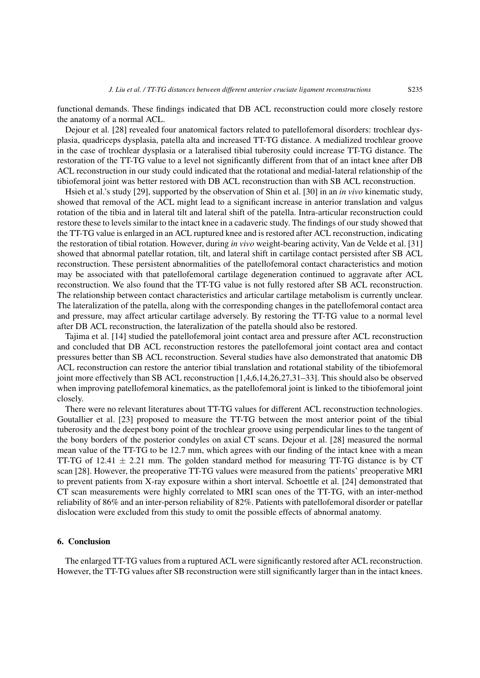functional demands. These findings indicated that DB ACL reconstruction could more closely restore the anatomy of a normal ACL.

Dejour et al. [\[28\]](#page-8-16) revealed four anatomical factors related to patellofemoral disorders: trochlear dysplasia, quadriceps dysplasia, patella alta and increased TT-TG distance. A medialized trochlear groove in the case of trochlear dysplasia or a lateralised tibial tuberosity could increase TT-TG distance. The restoration of the TT-TG value to a level not significantly different from that of an intact knee after DB ACL reconstruction in our study could indicated that the rotational and medial-lateral relationship of the tibiofemoral joint was better restored with DB ACL reconstruction than with SB ACL reconstruction.

Hsieh et al.'s study [\[29\]](#page-8-17), supported by the observation of Shin et al. [\[30\]](#page-8-18) in an *in vivo* kinematic study, showed that removal of the ACL might lead to a significant increase in anterior translation and valgus rotation of the tibia and in lateral tilt and lateral shift of the patella. Intra-articular reconstruction could restore these to levels similar to the intact knee in a cadaveric study. The findings of our study showed that the TT-TG value is enlarged in an ACL ruptured knee and is restored after ACL reconstruction, indicating the restoration of tibial rotation. However, during *in vivo* weight-bearing activity, Van de Velde et al. [\[31\]](#page-8-19) showed that abnormal patellar rotation, tilt, and lateral shift in cartilage contact persisted after SB ACL reconstruction. These persistent abnormalities of the patellofemoral contact characteristics and motion may be associated with that patellofemoral cartilage degeneration continued to aggravate after ACL reconstruction. We also found that the TT-TG value is not fully restored after SB ACL reconstruction. The relationship between contact characteristics and articular cartilage metabolism is currently unclear. The lateralization of the patella, along with the corresponding changes in the patellofemoral contact area and pressure, may affect articular cartilage adversely. By restoring the TT-TG value to a normal level after DB ACL reconstruction, the lateralization of the patella should also be restored.

Tajima et al. [\[14\]](#page-8-2) studied the patellofemoral joint contact area and pressure after ACL reconstruction and concluded that DB ACL reconstruction restores the patellofemoral joint contact area and contact pressures better than SB ACL reconstruction. Several studies have also demonstrated that anatomic DB ACL reconstruction can restore the anterior tibial translation and rotational stability of the tibiofemoral joint more effectively than SB ACL reconstruction [\[1](#page-7-0)[,4](#page-7-8)[,6,](#page-7-10)[14](#page-8-2)[,26,](#page-8-14)[27](#page-8-15)[,31](#page-8-19)[–33\]](#page-9-0). This should also be observed when improving patellofemoral kinematics, as the patellofemoral joint is linked to the tibiofemoral joint closely.

There were no relevant literatures about TT-TG values for different ACL reconstruction technologies. Goutallier et al. [\[23\]](#page-8-11) proposed to measure the TT-TG between the most anterior point of the tibial tuberosity and the deepest bony point of the trochlear groove using perpendicular lines to the tangent of the bony borders of the posterior condyles on axial CT scans. Dejour et al. [\[28\]](#page-8-16) measured the normal mean value of the TT-TG to be 12.7 mm, which agrees with our finding of the intact knee with a mean TT-TG of 12.41  $\pm$  2.21 mm. The golden standard method for measuring TT-TG distance is by CT scan [\[28\]](#page-8-16). However, the preoperative TT-TG values were measured from the patients' preoperative MRI to prevent patients from X-ray exposure within a short interval. Schoettle et al. [\[24\]](#page-8-12) demonstrated that CT scan measurements were highly correlated to MRI scan ones of the TT-TG, with an inter-method reliability of 86% and an inter-person reliability of 82%. Patients with patellofemoral disorder or patellar dislocation were excluded from this study to omit the possible effects of abnormal anatomy.

# 6. Conclusion

The enlarged TT-TG values from a ruptured ACL were significantly restored after ACL reconstruction. However, the TT-TG values after SB reconstruction were still significantly larger than in the intact knees.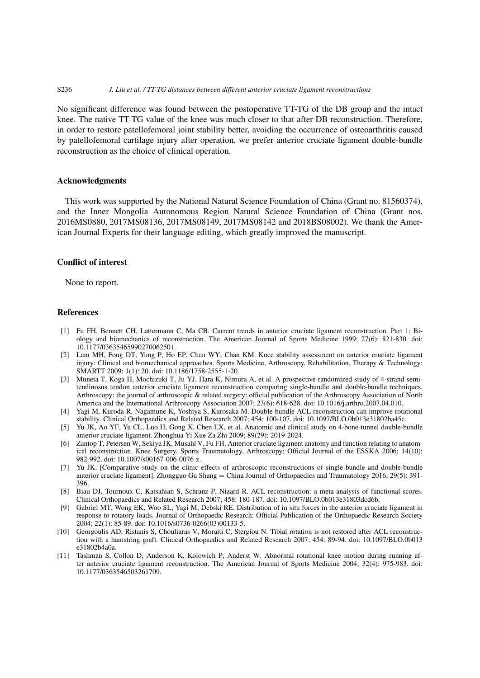## S236 *J. Liu et al. / TT-TG distances between different anterior cruciate ligament reconstructions*

No significant difference was found between the postoperative TT-TG of the DB group and the intact knee. The native TT-TG value of the knee was much closer to that after DB reconstruction. Therefore, in order to restore patellofemoral joint stability better, avoiding the occurrence of osteoarthritis caused by patellofemoral cartilage injury after operation, we prefer anterior cruciate ligament double-bundle reconstruction as the choice of clinical operation.

## Acknowledgments

This work was supported by the National Natural Science Foundation of China (Grant no. 81560374), and the Inner Mongolia Autonomous Region Natural Science Foundation of China (Grant nos. 2016MS0880, 2017MS08136, 2017MS08149, 2017MS08142 and 2018BS08002). We thank the American Journal Experts for their language editing, which greatly improved the manuscript.

# Conflict of interest

None to report.

# References

- <span id="page-7-0"></span>[1] Fu FH, Bennett CH, Lattermann C, Ma CB. Current trends in anterior cruciate ligament reconstruction. Part 1: Biology and biomechanics of reconstruction. The American Journal of Sports Medicine 1999; 27(6): 821-830. doi: 10.1177/03635465990270062501.
- <span id="page-7-1"></span>[2] Lam MH, Fong DT, Yung P, Ho EP, Chan WY, Chan KM. Knee stability assessment on anterior cruciate ligament injury: Clinical and biomechanical approaches. Sports Medicine, Arthroscopy, Rehabilitation, Therapy & Technology: SMARTT 2009; 1(1): 20. doi: 10.1186/1758-2555-1-20.
- <span id="page-7-2"></span>[3] Muneta T, Koga H, Mochizuki T, Ju YJ, Hara K, Nimura A, et al. A prospective randomized study of 4-strand semitendinosus tendon anterior cruciate ligament reconstruction comparing single-bundle and double-bundle techniques. Arthroscopy: the journal of arthroscopic & related surgery: official publication of the Arthroscopy Association of North America and the International Arthroscopy Association 2007; 23(6): 618-628. doi: 10.1016/j.arthro.2007.04.010.
- <span id="page-7-8"></span>[4] Yagi M, Kuroda R, Nagamune K, Yoshiya S, Kurosaka M. Double-bundle ACL reconstruction can improve rotational stability. Clinical Orthopaedics and Related Research 2007; 454: 100-107. doi: 10.1097/BLO.0b013e31802ba45c.
- <span id="page-7-5"></span>[5] Yu JK, Ao YF, Yu CL, Luo H, Gong X, Chen LX, et al. Anatomic and clinical study on 4-bone-tunnel double-bundle anterior cruciate ligament. Zhonghua Yi Xue Za Zhi 2009; 89(29): 2019-2024.
- <span id="page-7-10"></span>[6] Zantop T, Petersen W, Sekiya JK, Musahl V, Fu FH. Anterior cruciate ligament anatomy and function relating to anatomical reconstruction. Knee Surgery, Sports Traumatology, Arthroscopy: Official Journal of the ESSKA 2006; 14(10): 982-992. doi: 10.1007/s00167-006-0076-z.
- <span id="page-7-3"></span>[7] Yu JK. [Comparative study on the clinic effects of arthroscopic reconstructions of single-bundle and double-bundle anterior cruciate ligament]. Zhongguo Gu Shang = China Journal of Orthopaedics and Traumatology 2016; 29(5): 391- 396.
- <span id="page-7-6"></span>[8] Biau DJ, Tournoux C, Katsahian S, Schranz P, Nizard R. ACL reconstruction: a meta-analysis of functional scores. Clinical Orthopaedics and Related Research 2007; 458: 180-187. doi: 10.1097/BLO.0b013e31803dcd6b.
- <span id="page-7-4"></span>[9] Gabriel MT, Wong EK, Woo SL, Yagi M, Debski RE. Distribution of in situ forces in the anterior cruciate ligament in response to rotatory loads. Journal of Orthopaedic Research: Official Publication of the Orthopaedic Research Society 2004; 22(1): 85-89. doi: 10.1016/s0736-0266(03)00133-5.
- <span id="page-7-7"></span>[10] Georgoulis AD, Ristanis S, Chouliaras V, Moraiti C, Stergiou N. Tibial rotation is not restored after ACL reconstruction with a hamstring graft. Clinical Orthopaedics and Related Research 2007; 454: 89-94. doi: 10.1097/BLO.0b013 e31802b4a0a.
- <span id="page-7-9"></span>[11] Tashman S, Collon D, Anderson K, Kolowich P, Anderst W. Abnormal rotational knee motion during running after anterior cruciate ligament reconstruction. The American Journal of Sports Medicine 2004; 32(4): 975-983. doi: 10.1177/0363546503261709.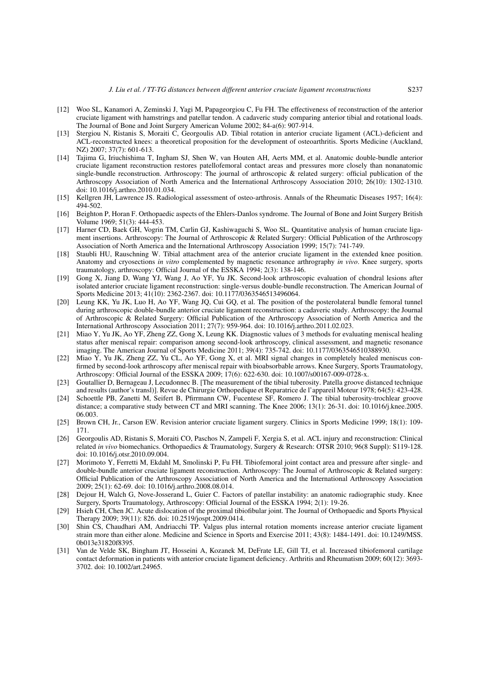- <span id="page-8-0"></span>[12] Woo SL, Kanamori A, Zeminski J, Yagi M, Papageorgiou C, Fu FH. The effectiveness of reconstruction of the anterior cruciate ligament with hamstrings and patellar tendon. A cadaveric study comparing anterior tibial and rotational loads. The Journal of Bone and Joint Surgery American Volume 2002; 84-a(6): 907-914.
- <span id="page-8-1"></span>[13] Stergiou N, Ristanis S, Moraiti C, Georgoulis AD. Tibial rotation in anterior cruciate ligament (ACL)-deficient and ACL-reconstructed knees: a theoretical proposition for the development of osteoarthritis. Sports Medicine (Auckland, NZ) 2007; 37(7): 601-613.
- <span id="page-8-2"></span>[14] Tajima G, Iriuchishima T, Ingham SJ, Shen W, van Houten AH, Aerts MM, et al. Anatomic double-bundle anterior cruciate ligament reconstruction restores patellofemoral contact areas and pressures more closely than nonanatomic single-bundle reconstruction. Arthroscopy: The journal of arthroscopic & related surgery: official publication of the Arthroscopy Association of North America and the International Arthroscopy Association 2010; 26(10): 1302-1310. doi: 10.1016/j.arthro.2010.01.034.
- <span id="page-8-3"></span>[15] Kellgren JH, Lawrence JS. Radiological assessment of osteo-arthrosis. Annals of the Rheumatic Diseases 1957; 16(4): 494-502.
- <span id="page-8-4"></span>[16] Beighton P, Horan F. Orthopaedic aspects of the Ehlers-Danlos syndrome. The Journal of Bone and Joint Surgery British Volume 1969; 51(3): 444-453.
- <span id="page-8-5"></span>[17] Harner CD, Baek GH, Vogrin TM, Carlin GJ, Kashiwaguchi S, Woo SL. Quantitative analysis of human cruciate ligament insertions. Arthroscopy: The Journal of Arthroscopic & Related Surgery: Official Publication of the Arthroscopy Association of North America and the International Arthroscopy Association 1999; 15(7): 741-749.
- <span id="page-8-6"></span>[18] Staubli HU, Rauschning W. Tibial attachment area of the anterior cruciate ligament in the extended knee position. Anatomy and cryosections *in vitro* complemented by magnetic resonance arthrography *in vivo*. Knee surgery, sports traumatology, arthroscopy: Official Journal of the ESSKA 1994; 2(3): 138-146.
- <span id="page-8-7"></span>[19] Gong X, Jiang D, Wang YJ, Wang J, Ao YF, Yu JK. Second-look arthroscopic evaluation of chondral lesions after isolated anterior cruciate ligament reconstruction: single-versus double-bundle reconstruction. The American Journal of Sports Medicine 2013; 41(10): 2362-2367. doi: 10.1177/0363546513496064.
- <span id="page-8-8"></span>[20] Leung KK, Yu JK, Luo H, Ao YF, Wang JQ, Cui GQ, et al. The position of the posterolateral bundle femoral tunnel during arthroscopic double-bundle anterior cruciate ligament reconstruction: a cadaveric study. Arthroscopy: the Journal of Arthroscopic & Related Surgery: Official Publication of the Arthroscopy Association of North America and the International Arthroscopy Association 2011; 27(7): 959-964. doi: 10.1016/j.arthro.2011.02.023.
- <span id="page-8-9"></span>[21] Miao Y, Yu JK, Ao YF, Zheng ZZ, Gong X, Leung KK. Diagnostic values of 3 methods for evaluating meniscal healing status after meniscal repair: comparison among second-look arthroscopy, clinical assessment, and magnetic resonance imaging. The American Journal of Sports Medicine 2011; 39(4): 735-742. doi: 10.1177/0363546510388930.
- <span id="page-8-10"></span>[22] Miao Y, Yu JK, Zheng ZZ, Yu CL, Ao YF, Gong X, et al. MRI signal changes in completely healed meniscus confirmed by second-look arthroscopy after meniscal repair with bioabsorbable arrows. Knee Surgery, Sports Traumatology, Arthroscopy: Official Journal of the ESSKA 2009; 17(6): 622-630. doi: 10.1007/s00167-009-0728-x.
- <span id="page-8-11"></span>[23] Goutallier D, Bernageau J, Lecudonnec B. [The measurement of the tibial tuberosity. Patella groove distanced technique and results (author's transl)]. Revue de Chirurgie Orthopedique et Reparatrice de l'appareil Moteur 1978; 64(5): 423-428.
- <span id="page-8-12"></span>[24] Schoettle PB, Zanetti M, Seifert B, Pfirrmann CW, Fucentese SF, Romero J. The tibial tuberosity-trochlear groove distance; a comparative study between CT and MRI scanning. The Knee 2006; 13(1): 26-31. doi: 10.1016/j.knee.2005. 06.003.
- <span id="page-8-13"></span>[25] Brown CH, Jr., Carson EW. Revision anterior cruciate ligament surgery. Clinics in Sports Medicine 1999; 18(1): 109- 171.
- <span id="page-8-14"></span>[26] Georgoulis AD, Ristanis S, Moraiti CO, Paschos N, Zampeli F, Xergia S, et al. ACL injury and reconstruction: Clinical related *in vivo* biomechanics. Orthopaedics & Traumatology, Surgery & Research: OTSR 2010; 96(8 Suppl): S119-128. doi: 10.1016/j.otsr.2010.09.004.
- <span id="page-8-15"></span>[27] Morimoto Y, Ferretti M, Ekdahl M, Smolinski P, Fu FH. Tibiofemoral joint contact area and pressure after single- and double-bundle anterior cruciate ligament reconstruction. Arthroscopy: The Journal of Arthroscopic & Related surgery: Official Publication of the Arthroscopy Association of North America and the International Arthroscopy Association 2009; 25(1): 62-69. doi: 10.1016/j.arthro.2008.08.014.
- <span id="page-8-16"></span>[28] Dejour H, Walch G, Nove-Josserand L, Guier C. Factors of patellar instability: an anatomic radiographic study. Knee Surgery, Sports Traumatology, Arthroscopy: Official Journal of the ESSKA 1994; 2(1): 19-26.
- <span id="page-8-17"></span>[29] Hsieh CH, Chen JC. Acute dislocation of the proximal tibiofibular joint. The Journal of Orthopaedic and Sports Physical Therapy 2009; 39(11): 826. doi: 10.2519/jospt.2009.0414.
- <span id="page-8-18"></span>[30] Shin CS, Chaudhari AM, Andriacchi TP. Valgus plus internal rotation moments increase anterior cruciate ligament strain more than either alone. Medicine and Science in Sports and Exercise 2011; 43(8): 1484-1491. doi: 10.1249/MSS. 0b013e31820f8395.
- <span id="page-8-19"></span>[31] Van de Velde SK, Bingham JT, Hosseini A, Kozanek M, DeFrate LE, Gill TJ, et al. Increased tibiofemoral cartilage contact deformation in patients with anterior cruciate ligament deficiency. Arthritis and Rheumatism 2009; 60(12): 3693- 3702. doi: 10.1002/art.24965.